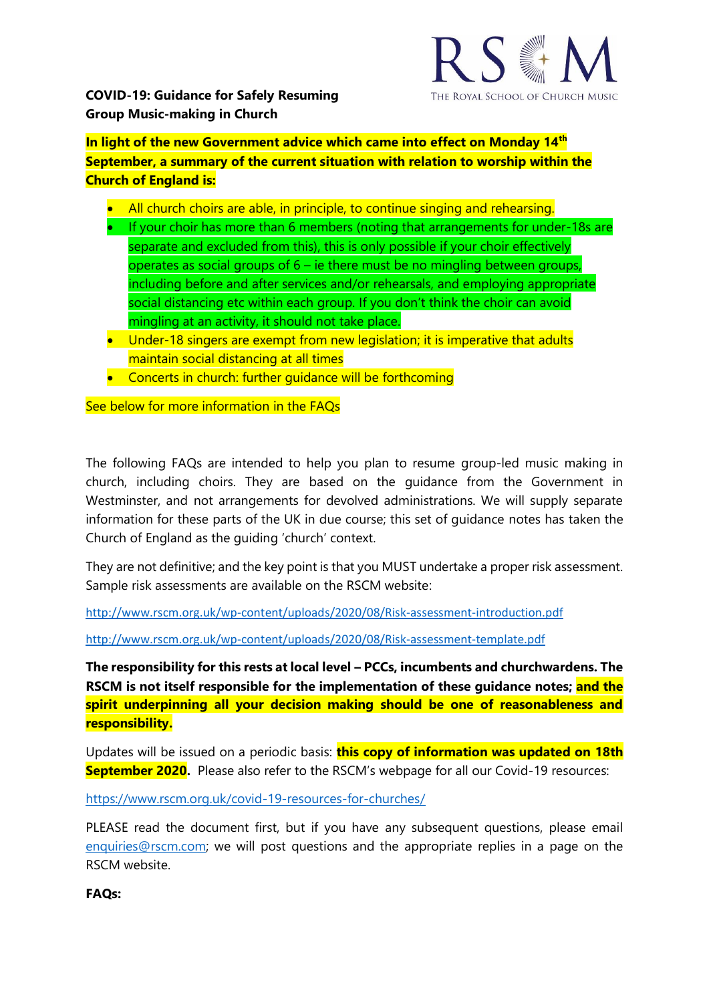

**In light of the new Government advice which came into effect on Monday 14th September, a summary of the current situation with relation to worship within the Church of England is:**

- All church choirs are able, in principle, to continue singing and rehearsing.
- If your choir has more than 6 members (noting that arrangements for under-18s are separate and excluded from this), this is only possible if your choir effectively operates as social groups of 6 – ie there must be no mingling between groups, including before and after services and/or rehearsals, and employing appropriate social distancing etc within each group. If you don't think the choir can avoid mingling at an activity, it should not take place.
- Under-18 singers are exempt from new legislation; it is imperative that adults maintain social distancing at all times
- Concerts in church: further quidance will be forthcoming

See below for more information in the FAQs

The following FAQs are intended to help you plan to resume group-led music making in church, including choirs. They are based on the guidance from the Government in Westminster, and not arrangements for devolved administrations. We will supply separate information for these parts of the UK in due course; this set of guidance notes has taken the Church of England as the guiding 'church' context.

They are not definitive; and the key point is that you MUST undertake a proper risk assessment. Sample risk assessments are available on the RSCM website:

<http://www.rscm.org.uk/wp-content/uploads/2020/08/Risk-assessment-introduction.pdf>

<http://www.rscm.org.uk/wp-content/uploads/2020/08/Risk-assessment-template.pdf>

**The responsibility for this rests at local level – PCCs, incumbents and churchwardens. The RSCM is not itself responsible for the implementation of these guidance notes; and the spirit underpinning all your decision making should be one of reasonableness and responsibility.**

Updates will be issued on a periodic basis: **this copy of information was updated on 18th September 2020.** Please also refer to the RSCM's webpage for all our Covid-19 resources:

<https://www.rscm.org.uk/covid-19-resources-for-churches/>

PLEASE read the document first, but if you have any subsequent questions, please email [enquiries@rscm.com;](mailto:enquiries@rscm.com) we will post questions and the appropriate replies in a page on the RSCM website.

**FAQs:**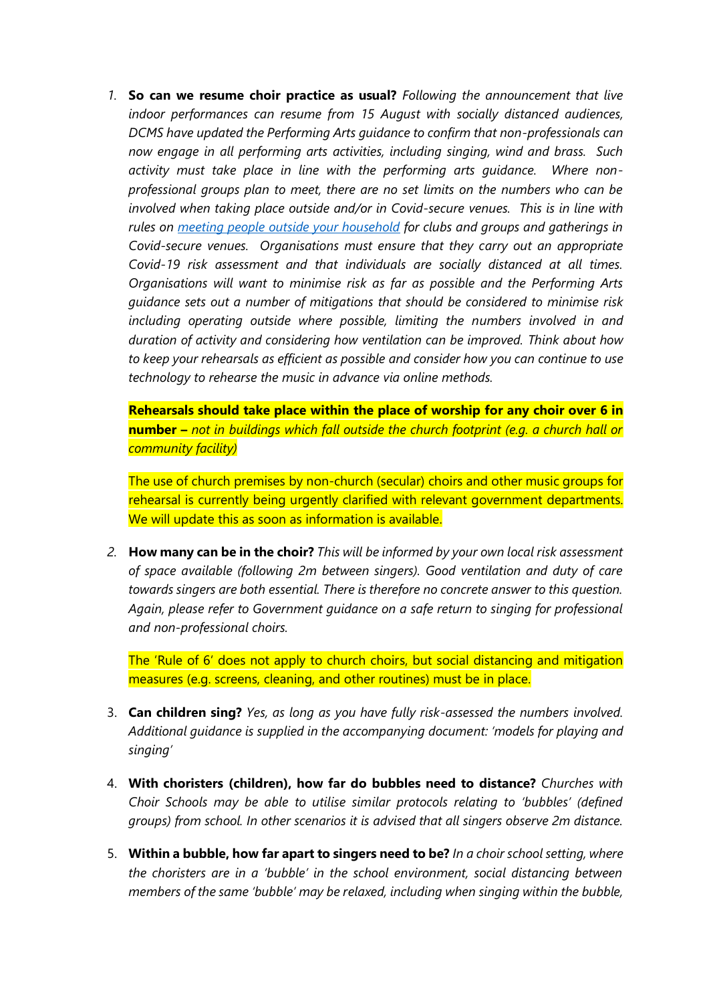*1.* **So can we resume choir practice as usual?** *Following the announcement that live indoor performances can resume from 15 August with socially distanced audiences, DCMS have updated the Performing Arts guidance to confirm that non-professionals can now engage in all performing arts activities, including singing, wind and brass. Such activity must take place in line with the performing arts guidance. Where nonprofessional groups plan to meet, there are no set limits on the numbers who can be involved when taking place outside and/or in Covid-secure venues. This is in line with rules on [meeting people outside your household](https://eur02.safelinks.protection.outlook.com/?url=https%3A%2F%2Fwww.gov.uk%2Fguidance%2Fmeeting-people-from-outside-your-household-from-4-july&data=02%7C01%7Cmark.betson%40churchofengland.org%7C17ab85430c3644161e1308d845c54292%7C95e2463b3ab047b49ac1587c77ee84f0%7C0%7C0%7C637336060823649034&sdata=O5LCYs99Eu9OwQGAXfXk2CkWaM8XD%2BLEnVDsZiAunZs%3D&reserved=0) for clubs and groups and gatherings in Covid-secure venues. Organisations must ensure that they carry out an appropriate Covid-19 risk assessment and that individuals are socially distanced at all times. Organisations will want to minimise risk as far as possible and the Performing Arts guidance sets out a number of mitigations that should be considered to minimise risk including operating outside where possible, limiting the numbers involved in and duration of activity and considering how ventilation can be improved. Think about how to keep your rehearsals as efficient as possible and consider how you can continue to use technology to rehearse the music in advance via online methods.*

**Rehearsals should take place within the place of worship for any choir over 6 in number –** *not in buildings which fall outside the church footprint (e.g. a church hall or community facility)*

The use of church premises by non-church (secular) choirs and other music groups for rehearsal is currently being urgently clarified with relevant government departments. We will update this as soon as information is available.

*2.* **How many can be in the choir?** *This will be informed by your own local risk assessment of space available (following 2m between singers). Good ventilation and duty of care towards singers are both essential. There is therefore no concrete answer to this question. Again, please refer to Government guidance on a safe return to singing for professional and non-professional choirs.*

The 'Rule of 6' does not apply to church choirs, but social distancing and mitigation measures (e.g. screens, cleaning, and other routines) must be in place.

- 3. **Can children sing?** *Yes, as long as you have fully risk-assessed the numbers involved. Additional guidance is supplied in the accompanying document: 'models for playing and singing'*
- 4. **With choristers (children), how far do bubbles need to distance?** *Churches with Choir Schools may be able to utilise similar protocols relating to 'bubbles' (defined groups) from school. In other scenarios it is advised that all singers observe 2m distance.*
- 5. **Within a bubble, how far apart to singers need to be?** *In a choir school setting, where the choristers are in a 'bubble' in the school environment, social distancing between members of the same 'bubble' may be relaxed, including when singing within the bubble,*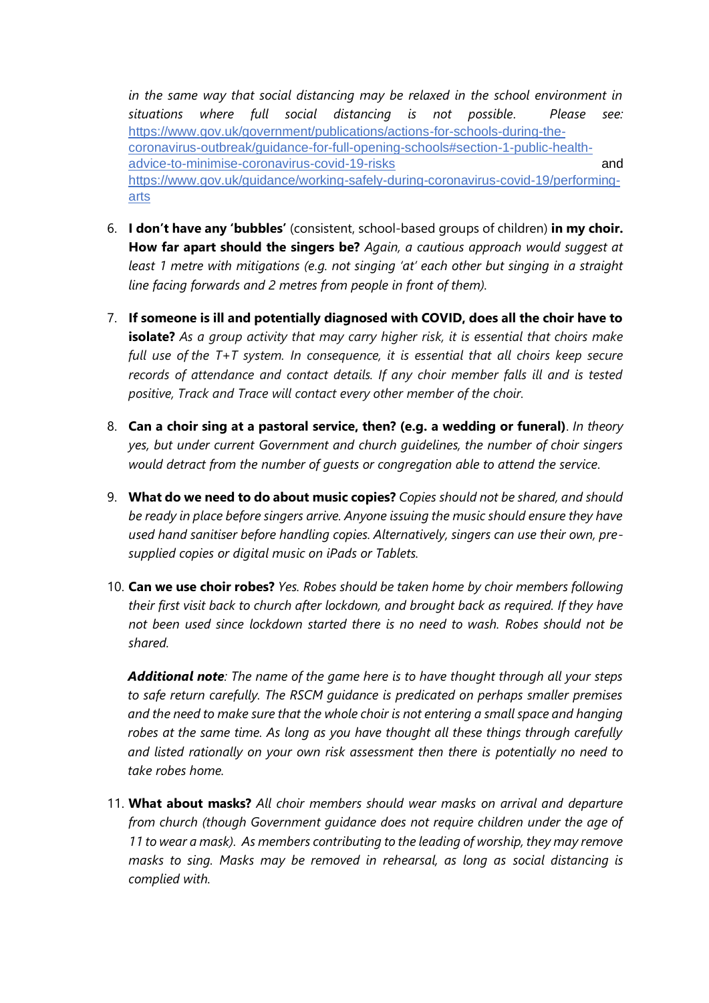*in the same way that social distancing may be relaxed in the school environment in situations where full social distancing is not possible. Please see:*  [https://www.gov.uk/government/publications/actions-for-schools-during-the](https://www.gov.uk/government/publications/actions-for-schools-during-the-coronavirus-outbreak/guidance-for-full-opening-schools#section-1-public-health-advice-to-minimise-coronavirus-covid-19-risks)[coronavirus-outbreak/guidance-for-full-opening-schools#section-1-public-health](https://www.gov.uk/government/publications/actions-for-schools-during-the-coronavirus-outbreak/guidance-for-full-opening-schools#section-1-public-health-advice-to-minimise-coronavirus-covid-19-risks)[advice-to-minimise-coronavirus-covid-19-risks](https://www.gov.uk/government/publications/actions-for-schools-during-the-coronavirus-outbreak/guidance-for-full-opening-schools#section-1-public-health-advice-to-minimise-coronavirus-covid-19-risks) and [https://www.gov.uk/guidance/working-safely-during-coronavirus-covid-19/performing](https://www.gov.uk/guidance/working-safely-during-coronavirus-covid-19/performing-arts)[arts](https://www.gov.uk/guidance/working-safely-during-coronavirus-covid-19/performing-arts)

- 6. **I don't have any 'bubbles'** (consistent, school-based groups of children) **in my choir. How far apart should the singers be?** *Again, a cautious approach would suggest at least 1 metre with mitigations (e.g. not singing 'at' each other but singing in a straight line facing forwards and 2 metres from people in front of them).*
- 7. **If someone is ill and potentially diagnosed with COVID, does all the choir have to isolate?** *As a group activity that may carry higher risk, it is essential that choirs make full use of the T+T system. In consequence, it is essential that all choirs keep secure records of attendance and contact details. If any choir member falls ill and is tested positive, Track and Trace will contact every other member of the choir.*
- 8. **Can a choir sing at a pastoral service, then? (e.g. a wedding or funeral)**. *In theory yes, but under current Government and church guidelines, the number of choir singers would detract from the number of guests or congregation able to attend the service.*
- 9. **What do we need to do about music copies?** *Copies should not be shared, and should be ready in place before singers arrive. Anyone issuing the music should ensure they have used hand sanitiser before handling copies. Alternatively, singers can use their own, presupplied copies or digital music on iPads or Tablets.*
- 10. **Can we use choir robes?** *Yes. Robes should be taken home by choir members following their first visit back to church after lockdown, and brought back as required. If they have not been used since lockdown started there is no need to wash. Robes should not be shared.*

*Additional note: The name of the game here is to have thought through all your steps to safe return carefully. The RSCM guidance is predicated on perhaps smaller premises and the need to make sure that the whole choir is not entering a small space and hanging robes at the same time. As long as you have thought all these things through carefully and listed rationally on your own risk assessment then there is potentially no need to take robes home.*

11. **What about masks?** *All choir members should wear masks on arrival and departure from church (though Government guidance does not require children under the age of 11 to wear a mask). As members contributing to the leading of worship, they may remove masks to sing. Masks may be removed in rehearsal, as long as social distancing is complied with.*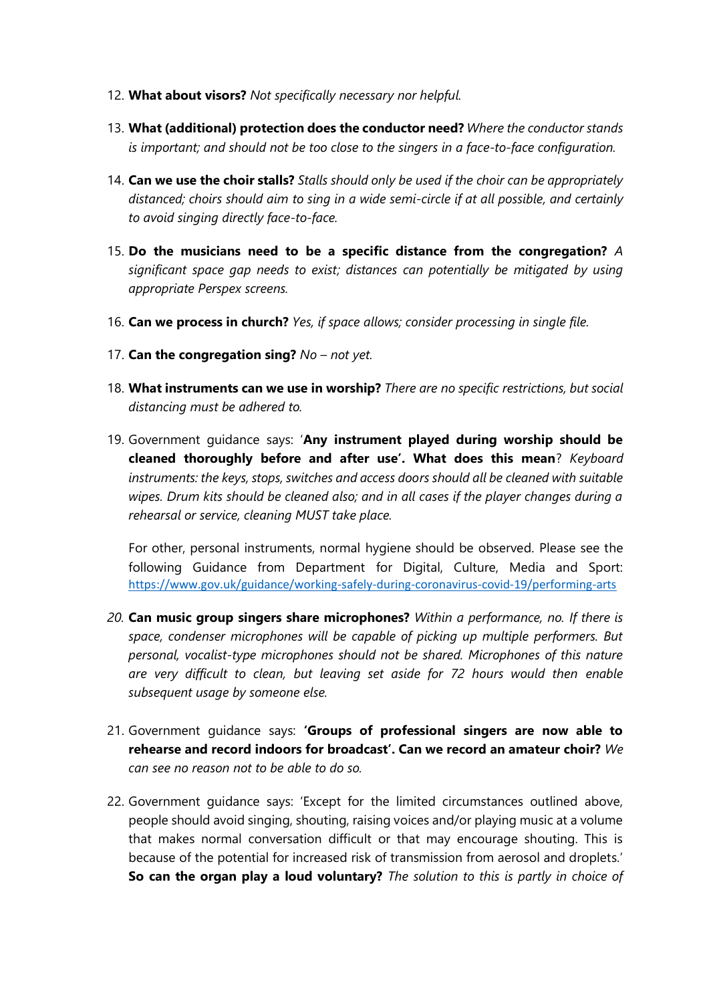- 12. **What about visors?** *Not specifically necessary nor helpful.*
- 13. **What (additional) protection does the conductor need?** *Where the conductor stands is important; and should not be too close to the singers in a face-to-face configuration.*
- 14. **Can we use the choir stalls?** *Stalls should only be used if the choir can be appropriately distanced; choirs should aim to sing in a wide semi-circle if at all possible, and certainly to avoid singing directly face-to-face.*
- 15. **Do the musicians need to be a specific distance from the congregation?** *A significant space gap needs to exist; distances can potentially be mitigated by using appropriate Perspex screens.*
- 16. **Can we process in church?** *Yes, if space allows; consider processing in single file.*
- 17. **Can the congregation sing?** *No – not yet.*
- 18. **What instruments can we use in worship?** *There are no specific restrictions, but social distancing must be adhered to.*
- 19. Government guidance says: '**Any instrument played during worship should be cleaned thoroughly before and after use'. What does this mean**? *Keyboard instruments: the keys, stops, switches and access doors should all be cleaned with suitable wipes. Drum kits should be cleaned also; and in all cases if the player changes during a rehearsal or service, cleaning MUST take place.*

For other, personal instruments, normal hygiene should be observed. Please see the following Guidance from Department for Digital, Culture, Media and Sport: <https://www.gov.uk/guidance/working-safely-during-coronavirus-covid-19/performing-arts>

- *20.* **Can music group singers share microphones?** *Within a performance, no. If there is space, condenser microphones will be capable of picking up multiple performers. But personal, vocalist-type microphones should not be shared. Microphones of this nature are very difficult to clean, but leaving set aside for 72 hours would then enable subsequent usage by someone else.*
- 21. Government guidance says: **'Groups of professional singers are now able to rehearse and record indoors for broadcast'. Can we record an amateur choir?** *We can see no reason not to be able to do so.*
- 22. Government guidance says: 'Except for the limited circumstances outlined above, people should avoid singing, shouting, raising voices and/or playing music at a volume that makes normal conversation difficult or that may encourage shouting. This is because of the potential for increased risk of transmission from aerosol and droplets.' **So can the organ play a loud voluntary?** *The solution to this is partly in choice of*